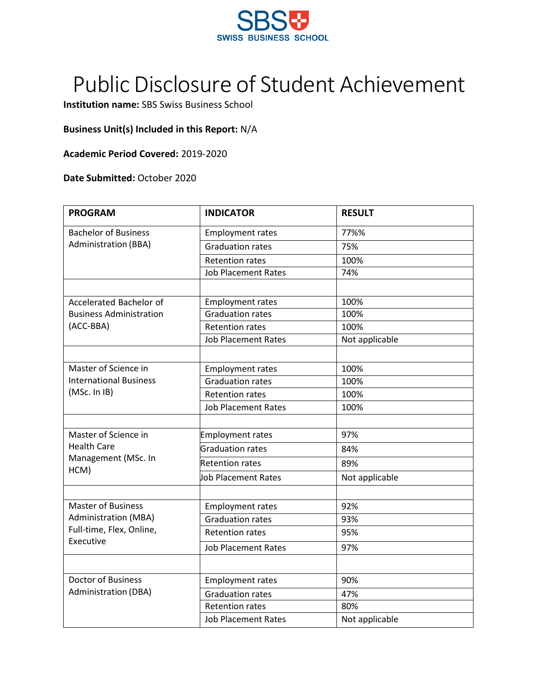

## Public Disclosure of Student Achievement

**Institution name:** SBS Swiss Business School

## **Business Unit(s) Included in this Report:** N/A

## **Academic Period Covered:** 2019-2020

## **Date Submitted:** October 2020

| <b>PROGRAM</b>                                                                                    | <b>INDICATOR</b>           | <b>RESULT</b>  |
|---------------------------------------------------------------------------------------------------|----------------------------|----------------|
| <b>Bachelor of Business</b><br><b>Administration (BBA)</b>                                        | <b>Employment rates</b>    | 77%%           |
|                                                                                                   | <b>Graduation rates</b>    | 75%            |
|                                                                                                   | <b>Retention rates</b>     | 100%           |
|                                                                                                   | <b>Job Placement Rates</b> | 74%            |
|                                                                                                   |                            |                |
| Accelerated Bachelor of                                                                           | <b>Employment rates</b>    | 100%           |
| <b>Business Administration</b>                                                                    | <b>Graduation rates</b>    | 100%           |
| (ACC-BBA)                                                                                         | <b>Retention rates</b>     | 100%           |
|                                                                                                   | <b>Job Placement Rates</b> | Not applicable |
|                                                                                                   |                            |                |
| Master of Science in                                                                              | <b>Employment rates</b>    | 100%           |
| <b>International Business</b>                                                                     | <b>Graduation rates</b>    | 100%           |
| (MSc. In IB)                                                                                      | <b>Retention rates</b>     | 100%           |
|                                                                                                   | <b>Job Placement Rates</b> | 100%           |
|                                                                                                   |                            |                |
| Master of Science in<br><b>Health Care</b><br>Management (MSc. In<br>HCM)                         | <b>Employment rates</b>    | 97%            |
|                                                                                                   | <b>Graduation rates</b>    | 84%            |
|                                                                                                   | <b>Retention rates</b>     | 89%            |
|                                                                                                   | Job Placement Rates        | Not applicable |
|                                                                                                   |                            |                |
| <b>Master of Business</b><br><b>Administration (MBA)</b><br>Full-time, Flex, Online,<br>Executive | <b>Employment rates</b>    | 92%            |
|                                                                                                   | <b>Graduation rates</b>    | 93%            |
|                                                                                                   | <b>Retention rates</b>     | 95%            |
|                                                                                                   | <b>Job Placement Rates</b> | 97%            |
|                                                                                                   |                            |                |
| <b>Doctor of Business</b>                                                                         | <b>Employment rates</b>    | 90%            |
| <b>Administration (DBA)</b>                                                                       | <b>Graduation rates</b>    | 47%            |
|                                                                                                   | <b>Retention rates</b>     | 80%            |
|                                                                                                   | <b>Job Placement Rates</b> | Not applicable |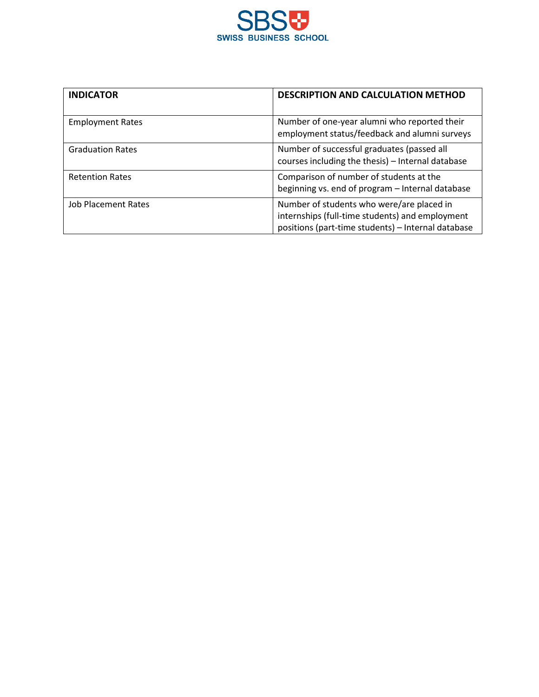

| <b>INDICATOR</b>           | <b>DESCRIPTION AND CALCULATION METHOD</b>                                                                                                          |  |
|----------------------------|----------------------------------------------------------------------------------------------------------------------------------------------------|--|
| <b>Employment Rates</b>    | Number of one-year alumni who reported their<br>employment status/feedback and alumni surveys                                                      |  |
| <b>Graduation Rates</b>    | Number of successful graduates (passed all<br>courses including the thesis) - Internal database                                                    |  |
| <b>Retention Rates</b>     | Comparison of number of students at the<br>beginning vs. end of program - Internal database                                                        |  |
| <b>Job Placement Rates</b> | Number of students who were/are placed in<br>internships (full-time students) and employment<br>positions (part-time students) - Internal database |  |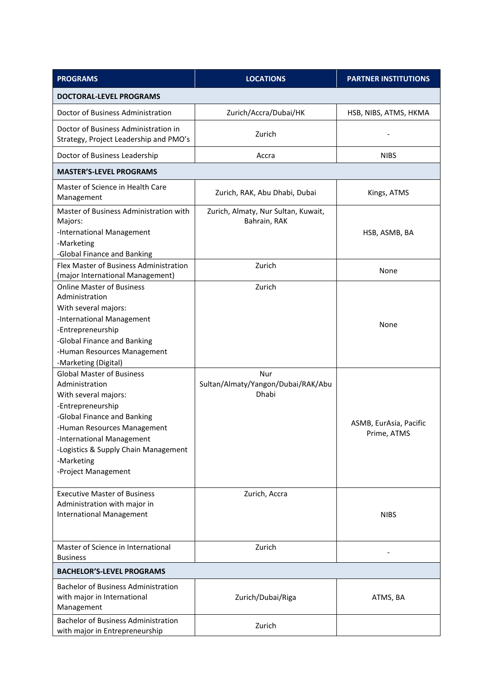| <b>PROGRAMS</b>                                                                                                                                                                                                                                                                                                                                      | <b>LOCATIONS</b>                                                    | <b>PARTNER INSTITUTIONS</b>    |  |  |
|------------------------------------------------------------------------------------------------------------------------------------------------------------------------------------------------------------------------------------------------------------------------------------------------------------------------------------------------------|---------------------------------------------------------------------|--------------------------------|--|--|
| <b>DOCTORAL-LEVEL PROGRAMS</b>                                                                                                                                                                                                                                                                                                                       |                                                                     |                                |  |  |
| Doctor of Business Administration                                                                                                                                                                                                                                                                                                                    | Zurich/Accra/Dubai/HK                                               | HSB, NIBS, ATMS, HKMA          |  |  |
| Doctor of Business Administration in<br>Strategy, Project Leadership and PMO's                                                                                                                                                                                                                                                                       | Zurich                                                              |                                |  |  |
| Doctor of Business Leadership                                                                                                                                                                                                                                                                                                                        | Accra                                                               | <b>NIBS</b>                    |  |  |
| <b>MASTER'S-LEVEL PROGRAMS</b>                                                                                                                                                                                                                                                                                                                       |                                                                     |                                |  |  |
| Master of Science in Health Care<br>Management                                                                                                                                                                                                                                                                                                       | Zurich, RAK, Abu Dhabi, Dubai                                       | Kings, ATMS                    |  |  |
| Master of Business Administration with<br>Majors:<br>-International Management<br>-Marketing<br>-Global Finance and Banking                                                                                                                                                                                                                          | Zurich, Almaty, Nur Sultan, Kuwait,<br>Bahrain, RAK                 | HSB, ASMB, BA                  |  |  |
| Flex Master of Business Administration<br>(major International Management)                                                                                                                                                                                                                                                                           | Zurich                                                              | None                           |  |  |
| <b>Online Master of Business</b><br>Administration<br>With several majors:<br>-International Management<br>-Entrepreneurship<br>-Global Finance and Banking<br>-Human Resources Management<br>-Marketing (Digital)<br><b>Global Master of Business</b><br>Administration<br>With several majors:<br>-Entrepreneurship<br>-Global Finance and Banking | Zurich<br>Nur<br>Sultan/Almaty/Yangon/Dubai/RAK/Abu<br><b>Dhabi</b> | None<br>ASMB, EurAsia, Pacific |  |  |
| -Human Resources Management<br>-International Management<br>-Logistics & Supply Chain Management<br>-Marketing<br>-Project Management                                                                                                                                                                                                                |                                                                     | Prime, ATMS                    |  |  |
| <b>Executive Master of Business</b><br>Administration with major in<br><b>International Management</b>                                                                                                                                                                                                                                               | Zurich, Accra                                                       | <b>NIBS</b>                    |  |  |
| Master of Science in International<br><b>Business</b>                                                                                                                                                                                                                                                                                                | Zurich                                                              |                                |  |  |
| <b>BACHELOR'S-LEVEL PROGRAMS</b>                                                                                                                                                                                                                                                                                                                     |                                                                     |                                |  |  |
| <b>Bachelor of Business Administration</b><br>with major in International<br>Management                                                                                                                                                                                                                                                              | Zurich/Dubai/Riga                                                   | ATMS, BA                       |  |  |
| <b>Bachelor of Business Administration</b><br>with major in Entrepreneurship                                                                                                                                                                                                                                                                         | Zurich                                                              |                                |  |  |